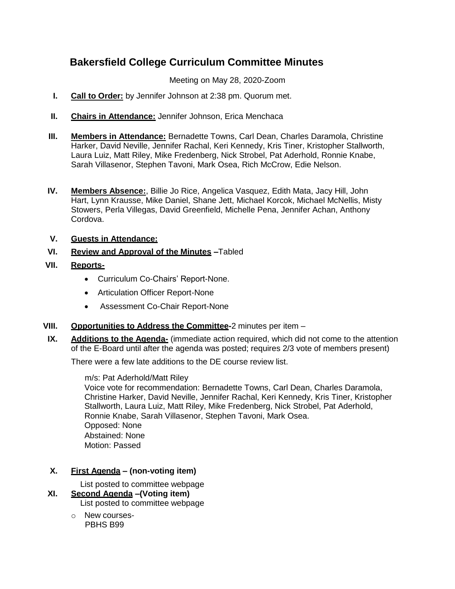# **Bakersfield College Curriculum Committee Minutes**

Meeting on May 28, 2020-Zoom

- **I. Call to Order:** by Jennifer Johnson at 2:38 pm. Quorum met.
- **II. Chairs in Attendance:** Jennifer Johnson, Erica Menchaca
- **III. Members in Attendance:** Bernadette Towns, Carl Dean, Charles Daramola, Christine Harker, David Neville, Jennifer Rachal, Keri Kennedy, Kris Tiner, Kristopher Stallworth, Laura Luiz, Matt Riley, Mike Fredenberg, Nick Strobel, Pat Aderhold, Ronnie Knabe, Sarah Villasenor, Stephen Tavoni, Mark Osea, Rich McCrow, Edie Nelson.
- **IV. Members Absence:**, Billie Jo Rice, Angelica Vasquez, Edith Mata, Jacy Hill, John Hart, Lynn Krausse, Mike Daniel, Shane Jett, Michael Korcok, Michael McNellis, Misty Stowers, Perla Villegas, David Greenfield, Michelle Pena, Jennifer Achan, Anthony Cordova.
- **V. Guests in Attendance:**
- **VI. Review and Approval of the Minutes –**Tabled

### **VII. Reports-**

- Curriculum Co-Chairs' Report-None.
- Articulation Officer Report-None
- Assessment Co-Chair Report-None
- **VIII. Opportunities to Address the Committee-**2 minutes per item –
- **IX. Additions to the Agenda-** (immediate action required, which did not come to the attention of the E-Board until after the agenda was posted; requires 2/3 vote of members present)

There were a few late additions to the DE course review list.

m/s: Pat Aderhold/Matt Riley

Voice vote for recommendation: Bernadette Towns, Carl Dean, Charles Daramola, Christine Harker, David Neville, Jennifer Rachal, Keri Kennedy, Kris Tiner, Kristopher Stallworth, Laura Luiz, Matt Riley, Mike Fredenberg, Nick Strobel, Pat Aderhold, Ronnie Knabe, Sarah Villasenor, Stephen Tavoni, Mark Osea. Opposed: None Abstained: None Motion: Passed

## **X. First Agenda – (non-voting item)**

List posted to committee webpage

## **XI. Second Agenda –(Voting item)**

List posted to committee webpage

o New courses- PBHS B99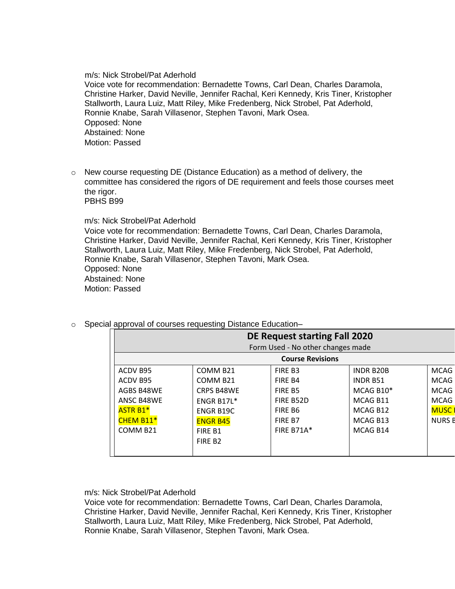#### m/s: Nick Strobel/Pat Aderhold

Voice vote for recommendation: Bernadette Towns, Carl Dean, Charles Daramola, Christine Harker, David Neville, Jennifer Rachal, Keri Kennedy, Kris Tiner, Kristopher Stallworth, Laura Luiz, Matt Riley, Mike Fredenberg, Nick Strobel, Pat Aderhold, Ronnie Knabe, Sarah Villasenor, Stephen Tavoni, Mark Osea. Opposed: None Abstained: None Motion: Passed

o New course requesting DE (Distance Education) as a method of delivery, the committee has considered the rigors of DE requirement and feels those courses meet the rigor. PBHS B99

m/s: Nick Strobel/Pat Aderhold

Voice vote for recommendation: Bernadette Towns, Carl Dean, Charles Daramola, Christine Harker, David Neville, Jennifer Rachal, Keri Kennedy, Kris Tiner, Kristopher Stallworth, Laura Luiz, Matt Riley, Mike Fredenberg, Nick Strobel, Pat Aderhold, Ronnie Knabe, Sarah Villasenor, Stephen Tavoni, Mark Osea. Opposed: None Abstained: None Motion: Passed

|                      | <b>DE Request starting Fall 2020</b><br>Form Used - No other changes made |                      |                   |                  |               |  |  |
|----------------------|---------------------------------------------------------------------------|----------------------|-------------------|------------------|---------------|--|--|
|                      | <b>Course Revisions</b>                                                   |                      |                   |                  |               |  |  |
| ACDV B95             |                                                                           | COMM B <sub>21</sub> | FIRE B3           | <b>INDR B20B</b> | <b>MCAG</b>   |  |  |
| ACDV B95             |                                                                           | COMM B <sub>21</sub> | FIRE B4           | <b>INDR B51</b>  | <b>MCAG</b>   |  |  |
|                      | AGBS B48WE                                                                | <b>CRPS B48WE</b>    | FIRE B5           | MCAG B10*        | <b>MCAG</b>   |  |  |
|                      | ANSC B48WE                                                                | ENGR B17L*           | FIRE B52D         | MCAG B11         | <b>MCAG</b>   |  |  |
| <b>ASTR B1*</b>      |                                                                           | <b>ENGR B19C</b>     | FIRE B6           | MCAG B12         | <b>MUSC</b>   |  |  |
|                      | <b>CHEM B11*</b>                                                          | <b>ENGR B45</b>      | FIRE B7           | MCAG B13         | <b>NURS B</b> |  |  |
| COMM B <sub>21</sub> |                                                                           | FIRE B1              | <b>FIRE B71A*</b> | MCAG B14         |               |  |  |
|                      |                                                                           | FIRE B <sub>2</sub>  |                   |                  |               |  |  |
|                      |                                                                           |                      |                   |                  |               |  |  |

#### o Special approval of courses requesting Distance Education–

m/s: Nick Strobel/Pat Aderhold

Voice vote for recommendation: Bernadette Towns, Carl Dean, Charles Daramola, Christine Harker, David Neville, Jennifer Rachal, Keri Kennedy, Kris Tiner, Kristopher Stallworth, Laura Luiz, Matt Riley, Mike Fredenberg, Nick Strobel, Pat Aderhold, Ronnie Knabe, Sarah Villasenor, Stephen Tavoni, Mark Osea.